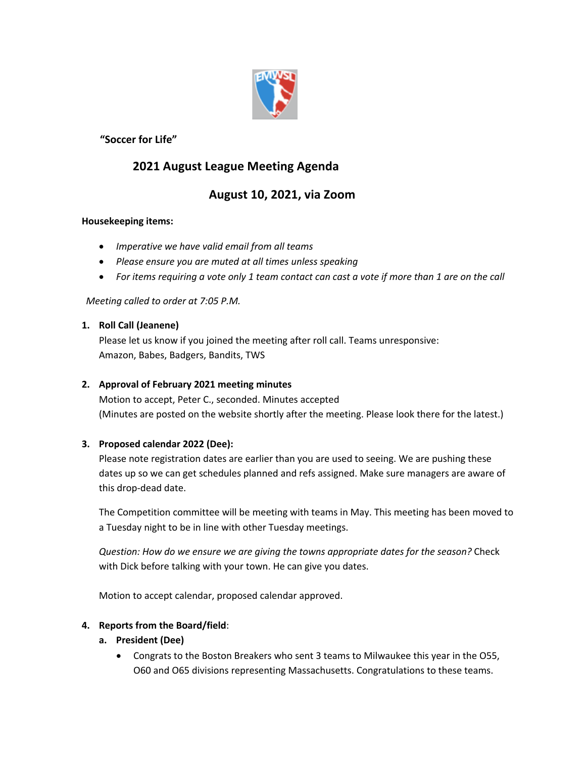

# **"Soccer for Life"**

# **2021 August League Meeting Agenda**

# **August 10, 2021, via Zoom**

## **Housekeeping items:**

- *Imperative we have valid email from all teams*
- *Please ensure you are muted at all times unless speaking*
- *For items requiring a vote only 1 team contact can cast a vote if more than 1 are on the call*

*Meeting called to order at 7:05 P.M.*

## **1. Roll Call (Jeanene)**

Please let us know if you joined the meeting after roll call. Teams unresponsive: Amazon, Babes, Badgers, Bandits, TWS

# **2. Approval of February 2021 meeting minutes**

Motion to accept, Peter C., seconded. Minutes accepted (Minutes are posted on the website shortly after the meeting. Please look there for the latest.)

# **3. Proposed calendar 2022 (Dee):**

Please note registration dates are earlier than you are used to seeing. We are pushing these dates up so we can get schedules planned and refs assigned. Make sure managers are aware of this drop-dead date.

The Competition committee will be meeting with teams in May. This meeting has been moved to a Tuesday night to be in line with other Tuesday meetings.

*Question: How do we ensure we are giving the towns appropriate dates for the season?* Check with Dick before talking with your town. He can give you dates.

Motion to accept calendar, proposed calendar approved.

#### **4. Reports from the Board/field**:

# **a. President (Dee)**

• Congrats to the Boston Breakers who sent 3 teams to Milwaukee this year in the O55, O60 and O65 divisions representing Massachusetts. Congratulations to these teams.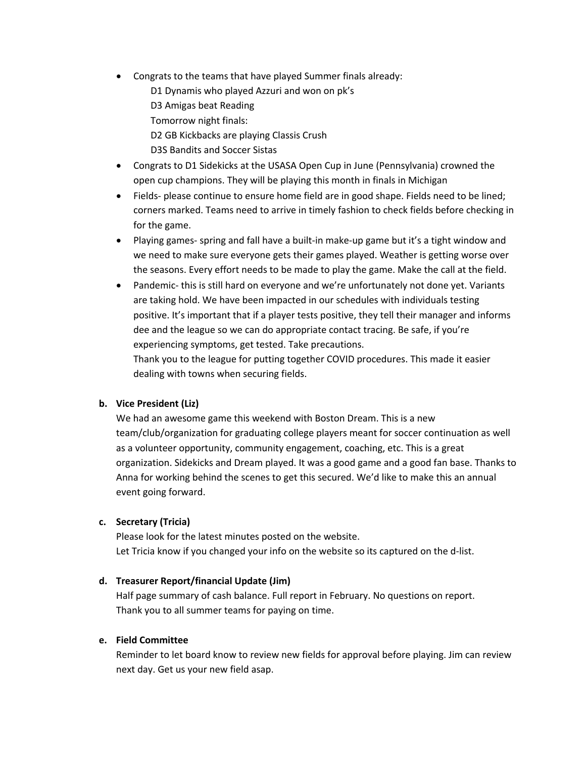- Congrats to the teams that have played Summer finals already:
	- D1 Dynamis who played Azzuri and won on pk's
	- D3 Amigas beat Reading
	- Tomorrow night finals:
	- D2 GB Kickbacks are playing Classis Crush
	- D3S Bandits and Soccer Sistas
- Congrats to D1 Sidekicks at the USASA Open Cup in June (Pennsylvania) crowned the open cup champions. They will be playing this month in finals in Michigan
- Fields- please continue to ensure home field are in good shape. Fields need to be lined; corners marked. Teams need to arrive in timely fashion to check fields before checking in for the game.
- Playing games- spring and fall have a built-in make-up game but it's a tight window and we need to make sure everyone gets their games played. Weather is getting worse over the seasons. Every effort needs to be made to play the game. Make the call at the field.
- Pandemic- this is still hard on everyone and we're unfortunately not done yet. Variants are taking hold. We have been impacted in our schedules with individuals testing positive. It's important that if a player tests positive, they tell their manager and informs dee and the league so we can do appropriate contact tracing. Be safe, if you're experiencing symptoms, get tested. Take precautions.

Thank you to the league for putting together COVID procedures. This made it easier dealing with towns when securing fields.

# **b. Vice President (Liz)**

We had an awesome game this weekend with Boston Dream. This is a new team/club/organization for graduating college players meant for soccer continuation as well as a volunteer opportunity, community engagement, coaching, etc. This is a great organization. Sidekicks and Dream played. It was a good game and a good fan base. Thanks to Anna for working behind the scenes to get this secured. We'd like to make this an annual event going forward.

#### **c. Secretary (Tricia)**

Please look for the latest minutes posted on the website. Let Tricia know if you changed your info on the website so its captured on the d-list.

# **d. Treasurer Report/financial Update (Jim)**

Half page summary of cash balance. Full report in February. No questions on report. Thank you to all summer teams for paying on time.

#### **e. Field Committee**

Reminder to let board know to review new fields for approval before playing. Jim can review next day. Get us your new field asap.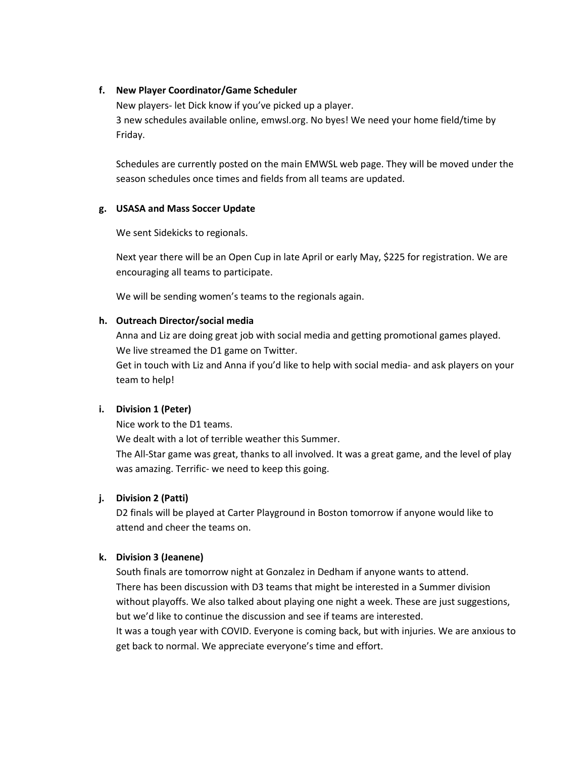#### **f. New Player Coordinator/Game Scheduler**

New players- let Dick know if you've picked up a player. 3 new schedules available online, emwsl.org. No byes! We need your home field/time by Friday.

Schedules are currently posted on the main EMWSL web page. They will be moved under the season schedules once times and fields from all teams are updated.

## **g. USASA and Mass Soccer Update**

We sent Sidekicks to regionals.

Next year there will be an Open Cup in late April or early May, \$225 for registration. We are encouraging all teams to participate.

We will be sending women's teams to the regionals again.

## **h. Outreach Director/social media**

Anna and Liz are doing great job with social media and getting promotional games played. We live streamed the D1 game on Twitter.

Get in touch with Liz and Anna if you'd like to help with social media- and ask players on your team to help!

# **i. Division 1 (Peter)**

Nice work to the D1 teams.

We dealt with a lot of terrible weather this Summer.

The All-Star game was great, thanks to all involved. It was a great game, and the level of play was amazing. Terrific- we need to keep this going.

# **j. Division 2 (Patti)**

D2 finals will be played at Carter Playground in Boston tomorrow if anyone would like to attend and cheer the teams on.

#### **k. Division 3 (Jeanene)**

South finals are tomorrow night at Gonzalez in Dedham if anyone wants to attend. There has been discussion with D3 teams that might be interested in a Summer division without playoffs. We also talked about playing one night a week. These are just suggestions, but we'd like to continue the discussion and see if teams are interested. It was a tough year with COVID. Everyone is coming back, but with injuries. We are anxious to get back to normal. We appreciate everyone's time and effort.